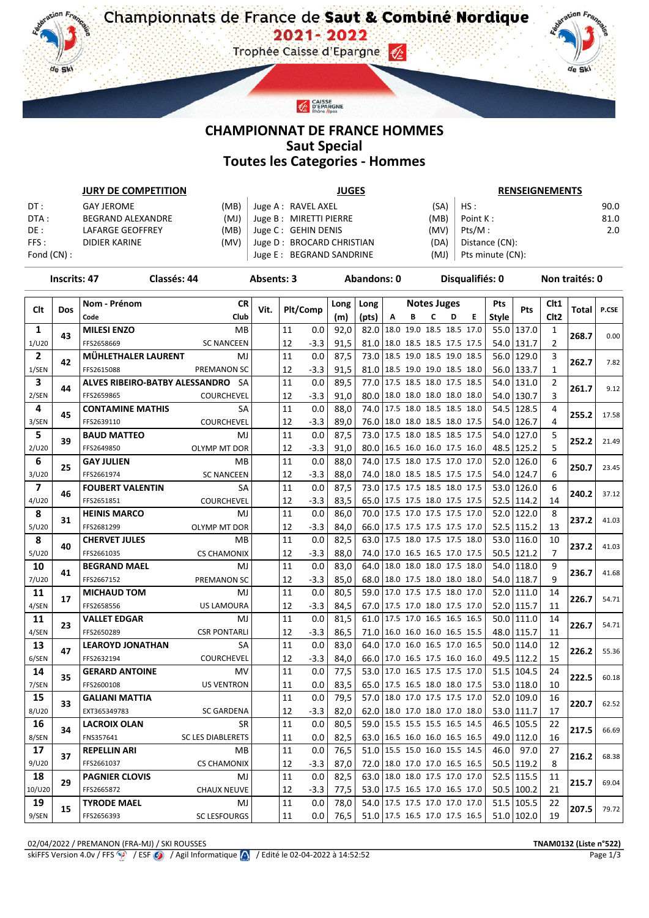## **CHAMPIONNAT DE FRANCE HOMMES Saut Special Toutes les Categories - Hommes**

CAISSE<br>D'EPARGNE

c

v

|            | <b>JURY DE COMPETITION</b> |      | <b>JUGES</b>              | <b>RENSEIGNEMENTS</b> |                  |      |  |
|------------|----------------------------|------|---------------------------|-----------------------|------------------|------|--|
| DT:        | <b>GAY JEROME</b>          | (MB) | Juge A: RAVEL AXEL        | (SA)                  | HS:              | 90.0 |  |
| DTA :      | BEGRAND ALEXANDRE          | (MJ) | Juge B: MIRETTI PIERRE    | (MB)                  | Point K:         | 81.0 |  |
| DE :       | LAFARGE GEOFFREY           | (MB) | Juge C: GEHIN DENIS       | (MV)                  | Pts/M :          | 2.0  |  |
| FFS:       | DIDIER KARINE              | (MV) | Juge D: BROCARD CHRISTIAN | (DA)                  | Distance (CN):   |      |  |
| Fond (CN): |                            |      | Juge E: BEGRAND SANDRINE  | (MJ)                  | Pts minute (CN): |      |  |

| <b>Inscrits: 47</b><br>Classés: 44 |     |                                       | Absents: 3 |      |          | <b>Abandons: 0</b> |      |                                 |   |                          |                    | Disqualifiés: 0 | Non traités: 0 |              |              |                  |              |       |
|------------------------------------|-----|---------------------------------------|------------|------|----------|--------------------|------|---------------------------------|---|--------------------------|--------------------|-----------------|----------------|--------------|--------------|------------------|--------------|-------|
| Clt                                | Dos | Nom - Prénom                          | <b>CR</b>  | Vit. | Plt/Comp |                    | Long | Long                            |   |                          | <b>Notes Juges</b> |                 |                | Pts          | Pts          | Clt1             | <b>Total</b> | P.CSE |
|                                    |     | Code                                  | Club       |      |          |                    | (m)  | (pts)                           | Α | В                        | $\mathbf c$        | D               | Е              | <b>Style</b> |              | Clt <sub>2</sub> |              |       |
| $\mathbf{1}$                       | 43  | <b>MILESI ENZO</b>                    | <b>MB</b>  |      | 11       | 0.0                | 92.0 | 82.0                            |   | 18.0 19.0 18.5 18.5 17.0 |                    |                 |                | 55.0         | 137.0        | $\mathbf{1}$     | 268.7        | 0.00  |
| 1/U20                              |     | FFS2658669<br><b>SC NANCEEN</b>       |            |      | 12       | $-3.3$             | 91,5 | 81.0 18.0 18.5 18.5 17.5 17.5   |   |                          |                    |                 |                |              | 54.0   131.7 | $\overline{2}$   |              |       |
| $\overline{2}$                     | 42  | MÜHLETHALER LAURENT                   | MJ         |      | 11       | 0.0                | 87.5 | 73.0 18.5 19.0 18.5 19.0 18.5   |   |                          |                    |                 |                |              | 56.0 129.0   | 3                | 262.7        | 7.82  |
| 1/SEN                              |     | FFS2615088<br>PREMANON SC             |            |      | 12       | $-3.3$             | 91,5 | 81.0 18.5 19.0 19.0 18.5 18.0   |   |                          |                    |                 |                |              | 56.0 133.7   | $\mathbf 1$      |              |       |
| $\mathbf{3}$                       | 44  | <b>ALVES RIBEIRO-BATBY ALESSANDRO</b> | <b>SA</b>  |      | 11       | 0.0                | 89.5 | 77.0 17.5 18.5 18.0 17.5 18.5   |   |                          |                    |                 |                |              | 54.0 131.0   | $\overline{2}$   | 261.7        | 9.12  |
| 2/SEN                              |     | FFS2659865<br>COURCHEVEL              |            |      | 12       | $-3.3$             | 91,0 | 80.0 18.0 18.0 18.0 18.0 18.0   |   |                          |                    |                 |                |              | 54.0   130.7 | 3                |              |       |
| 4                                  | 45  | <b>CONTAMINE MATHIS</b>               | <b>SA</b>  |      | 11       | 0.0                | 88.0 | 74.0 17.5 18.0 18.5 18.5 18.0   |   |                          |                    |                 |                |              | 54.5   128.5 | $\overline{4}$   | 255.2        | 17.58 |
| 3/SEN                              |     | FFS2639110<br>COURCHEVEL              |            |      | 12       | $-3.3$             | 89,0 | 76.0 18.0 18.0 18.5 18.0 17.5   |   |                          |                    |                 |                |              | 54.0 126.7   | 4                |              |       |
| 5                                  | 39  | <b>BAUD MATTEO</b>                    | MJ         |      | 11       | 0.0                | 87,5 | 73.0 17.5 18.0 18.5 18.5 17.5   |   |                          |                    |                 |                |              | 54.0 127.0   | 5                | 252.2        | 21.49 |
| 2/U20                              |     | FFS2649850<br>OLYMP MT DOR            |            |      | 12       | $-3.3$             | 91,0 | 80.0 16.5 16.0 16.0 17.5 16.0   |   |                          |                    |                 |                |              | 48.5 125.2   | 5                |              |       |
| 6                                  | 25  | <b>GAY JULIEN</b>                     | MB         |      | 11       | 0.0                | 88,0 | 74.0                            |   | 17.5 18.0 17.5 17.0 17.0 |                    |                 |                |              | 52.0   126.0 | 6                | 250.7        | 23.45 |
| 3/U20                              |     | FFS2661974<br><b>SC NANCEEN</b>       |            |      | 12       | $-3.3$             | 88,0 | 74.0   18.0 18.5 18.5 17.5 17.5 |   |                          |                    |                 |                |              | 54.0   124.7 | 6                |              |       |
| $\overline{7}$                     | 46  | <b>FOUBERT VALENTIN</b>               | <b>SA</b>  |      | 11       | 0.0                | 87,5 | 73.0 17.5 17.5 18.5 18.0 17.5   |   |                          |                    |                 |                |              | 53.0 126.0   | 6                | 240.2        | 37.12 |
| 4/U20                              |     | FFS2651851<br>COURCHEVEL              |            |      | 12       | $-3.3$             | 83,5 | 65.0 17.5 17.5 18.0 17.5 17.5   |   |                          |                    |                 |                |              | 52.5 114.2   | 14               |              |       |
| 8                                  | 31  | <b>HEINIS MARCO</b>                   | MJ         |      | 11       | 0.0                | 86.0 | 70.0 17.5 17.0 17.5 17.5 17.0   |   |                          |                    |                 |                |              | 52.0 122.0   | 8                | 237.2        | 41.03 |
| 5/U20                              |     | <b>OLYMP MT DOR</b><br>FFS2681299     |            |      | 12       | $-3.3$             | 84,0 | 66.0 17.5 17.5 17.5 17.5 17.0   |   |                          |                    |                 |                |              | 52.5 115.2   | 13               |              |       |
| 8                                  | 40  | <b>CHERVET JULES</b>                  | MB         |      | 11       | 0.0                | 82.5 | 63.0 17.5 18.0 17.5 17.5 18.0   |   |                          |                    |                 |                |              | 53.0 116.0   | 10               | 237.2        | 41.03 |
| 5/U20                              |     | FFS2661035<br><b>CS CHAMONIX</b>      |            |      | 12       | $-3.3$             | 88,0 | 74.0 17.0 16.5 16.5 17.0 17.5   |   |                          |                    |                 |                |              | 50.5 121.2   | $\overline{7}$   |              |       |
| 10                                 | 41  | <b>BEGRAND MAEL</b>                   | MJ         |      | 11       | 0.0                | 83,0 | 64.0 18.0 18.0 18.0 17.5 18.0   |   |                          |                    |                 |                |              | 54.0 118.0   | 9                | 236.7        | 41.68 |
| 7/U20                              |     | FFS2667152<br>PREMANON SC             |            |      | 12       | $-3.3$             | 85,0 | 68.0 18.0 17.5 18.0 18.0 18.0   |   |                          |                    |                 |                |              | 54.0 118.7   | 9                |              |       |
| 11                                 | 17  | <b>MICHAUD TOM</b>                    | MJ         |      | 11       | 0.0                | 80,5 | 59.0 17.0 17.5 17.5 18.0 17.0   |   |                          |                    |                 |                |              | 52.0 111.0   | 14               | 226.7        | 54.71 |
| 4/SEN                              |     | FFS2658556<br><b>US LAMOURA</b>       |            |      | 12       | -3.3               | 84,5 | 67.0 17.5 17.0 18.0 17.5 17.0   |   |                          |                    |                 |                |              | 52.0 115.7   | 11               |              |       |
| 11                                 | 23  | <b>VALLET EDGAR</b>                   | MJ         |      | 11       | 0.0                | 81.5 | 61.0 17.5 17.0 16.5 16.5 16.5   |   |                          |                    |                 |                |              | 50.0 111.0   | 14               | 226.7        | 54.71 |
| 4/SEN                              |     | FFS2650289<br><b>CSR PONTARLI</b>     |            |      | 12       | -3.3               | 86,5 | 71.0 16.0 16.0 16.0 16.5 15.5   |   |                          |                    |                 |                |              | 48.0   115.7 | 11               |              |       |
| 13                                 | 47  | <b>LEAROYD JONATHAN</b>               | <b>SA</b>  |      | 11       | 0.0                | 83,0 | 64.0                            |   | 17.0 16.0 16.5 17.0 16.5 |                    |                 |                |              | 50.0 114.0   | 12               | 226.2        | 55.36 |
| 6/SEN                              |     | FFS2632194<br><b>COURCHEVEL</b>       |            |      | 12       | $-3.3$             | 84,0 | 66.0 17.0 16.5 17.5 16.0 16.0   |   |                          |                    |                 |                |              | 49.5 112.2   | 15               |              |       |
| 14                                 | 35  | <b>GERARD ANTOINE</b>                 | MV         |      | 11       | 0.0                | 77,5 | 53.0 17.0 16.5 17.5 17.5 17.0   |   |                          |                    |                 |                |              | 51.5 104.5   | 24               | 222.5        | 60.18 |
| 7/SEN                              |     | FFS2600108<br><b>US VENTRON</b>       |            |      | 11       | 0.0                | 83,5 | 65.0 17.5 16.5 18.0 18.0 17.5   |   |                          |                    |                 |                |              | 53.0 118.0   | 10               |              |       |
| 15                                 | 33  | <b>GALIANI MATTIA</b>                 |            |      | 11       | 0.0                | 79,5 | 57.0 18.0 17.0 17.5 17.5 17.0   |   |                          |                    |                 |                |              | 52.0 109.0   | 16               | 220.7        | 62.52 |
| 8/U20                              |     | EXT365349783<br><b>SC GARDENA</b>     |            |      | 12       | $-3.3$             | 82.0 | 62.0 18.0 17.0 18.0 17.0 18.0   |   |                          |                    |                 |                |              | 53.0 111.7   | 17               |              |       |
| 16                                 | 34  | <b>LACROIX OLAN</b>                   | <b>SR</b>  |      | 11       | 0.0                | 80.5 | 59.0 15.5 15.5 15.5 16.5 14.5   |   |                          |                    |                 |                |              | 46.5 105.5   | 22               | 217.5        | 66.69 |
| 8/SEN                              |     | <b>SC LES DIABLERETS</b><br>FNS357641 |            |      | 11       | 0.0                | 82,5 | 63.0 16.5 16.0 16.0 16.5 16.5   |   |                          |                    |                 |                |              | 49.0 112.0   | 16               |              |       |
| 17                                 | 37  | <b>REPELLIN ARI</b>                   | MB         |      | 11       | 0.0                | 76,5 | 51.0 15.5 15.0 16.0 15.5 14.5   |   |                          |                    |                 |                | 46.0         | 97.0         | 27               | 216.2        | 68.38 |
| 9/U20                              |     | FFS2661037<br><b>CS CHAMONIX</b>      |            |      | 12       | $-3.3$             | 87.0 | 72.0 18.0 17.0 17.0 16.5 16.5   |   |                          |                    |                 |                |              | 50.5 119.2   | 8                |              |       |
| 18                                 | 29  | <b>PAGNIER CLOVIS</b>                 | MJ         |      | 11       | 0.0                | 82,5 | 63.0                            |   | 18.0 18.0 17.5 17.0 17.0 |                    |                 |                | 52.5         | 115.5        | 11               | 215.7        | 69.04 |
| 10/U20                             |     | FFS2665872<br><b>CHAUX NEUVE</b>      |            |      | 12       | $-3.3$             | 77,5 | 53.0 17.5 16.5 17.0 16.5 17.0   |   |                          |                    |                 |                |              | 50.5 100.2   | 21               |              |       |
| 19                                 | 15  | <b>TYRODE MAEL</b>                    | MJ         |      | 11       | 0.0                | 78,0 | 54.0 17.5 17.5 17.0 17.0 17.0   |   |                          |                    |                 |                |              | 51.5 105.5   | 22               | 207.5        | 79.72 |
| 9/SEN                              |     | FFS2656393<br><b>SC LESFOURGS</b>     |            |      | 11       | 0.0                | 76.5 | 51.0 17.5 16.5 17.0 17.5 16.5   |   |                          |                    |                 |                |              | 51.0 102.0   | 19               |              |       |

02/04/2022 / PREMANON (FRA-MJ) / SKI ROUSSES **TNAM0132 (Liste n°522)** skiFFS Version 4.0v / FFS  $\rightarrow$  / ESF  $\odot$  / Agil Informatique  $\prime$  / Edité le 02-04-2022 à 14:52:52 Page 1/3

 $\eta$ .

de Ski

11

de Ski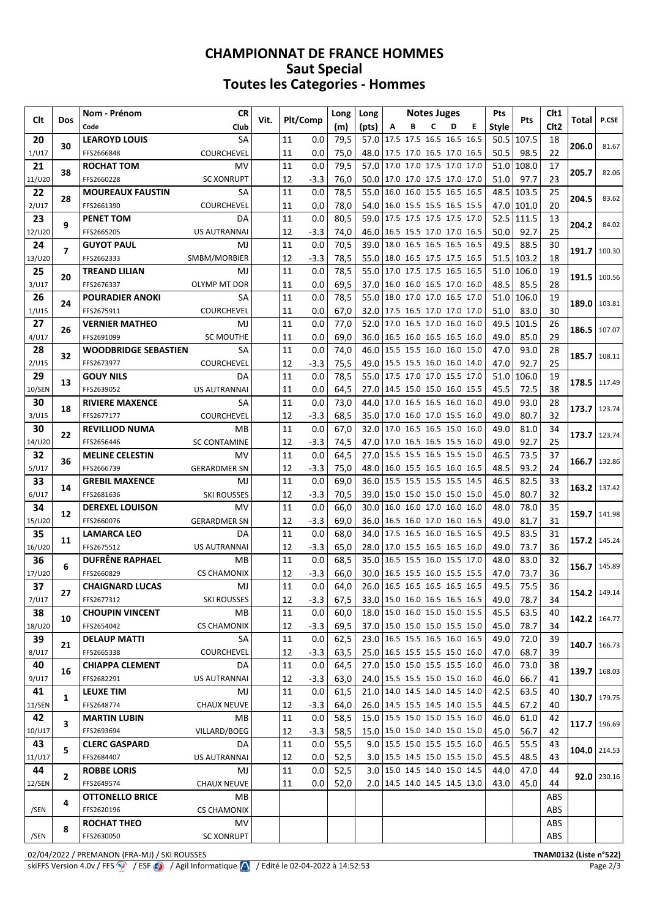## **CHAMPIONNAT DE FRANCE HOMMES Saut Special Toutes les Categories - Hommes**

| Clt          | Dos | Nom - Prénom<br><b>CR</b>                              | Vit. | Plt/Comp |                  | Long<br>Long |                                 |                                                             | <b>Notes Juges</b> |   |   |    | <b>Pts</b>   | <b>Pts</b>   | Clt1             | Total        | P.CSE            |
|--------------|-----|--------------------------------------------------------|------|----------|------------------|--------------|---------------------------------|-------------------------------------------------------------|--------------------|---|---|----|--------------|--------------|------------------|--------------|------------------|
|              |     | Club<br>Code                                           |      |          |                  | (m)          | (pts)                           | $\mathbf{A}$                                                | В                  | C | D | E. | <b>Style</b> |              | Clt <sub>2</sub> |              |                  |
| 20           | 30  | <b>LEAROYD LOUIS</b><br>SA                             |      | 11       | 0.0              | 79,5         | 57.0                            | 17.5 17.5 16.5 16.5 16.5                                    |                    |   |   |    |              | 50.5 107.5   | 18               | 206.0        | 81.67            |
| 1/U17        |     | FFS2666848<br><b>COURCHEVEL</b>                        |      | 11       | 0.0              | 75,0         |                                 | 48.0 17.5 17.0 16.5 17.0 16.5                               |                    |   |   |    | 50.5         | 98.5         | 22               |              |                  |
| 21           | 38  | <b>ROCHAT TOM</b><br>MV                                |      | 11       | 0.0              | 79,5         | 57.0                            | 17.0 17.0 17.5 17.0 17.0                                    |                    |   |   |    | 51.0         | 108.0        | 17               | 205.7        | 82.06            |
| 11/U20       |     | FFS2660228<br><b>SC XONRUPT</b>                        |      | 12       | -3.3             | 76,0         |                                 | 50.0 17.0 17.0 17.5 17.0 17.0                               |                    |   |   |    | 51.0         | 97.7         | 23               |              |                  |
| 22           | 28  | SA<br><b>MOUREAUX FAUSTIN</b>                          |      | 11       | 0.0              | 78,5         | 55.0                            | 16.0 16.0 15.5 16.5 16.5                                    |                    |   |   |    | 48.5         | 103.5        | 25               | 204.5        | 83.62            |
| $2$ /U17     |     | <b>COURCHEVEL</b><br>FFS2661390                        |      | 11       | 0.0              | 78,0         |                                 | 54.0   16.0 15.5 15.5 16.5 15.5                             |                    |   |   |    |              | 47.0   101.0 | 20               |              |                  |
| 23           | 9   | <b>PENET TOM</b><br>DA                                 |      | 11       | 0.0              | 80.5         | 59.0                            | 17.5 17.5 17.5 17.5 17.0                                    |                    |   |   |    | 52.5         | 111.5        | 13               | 204.2        | 84.02            |
| 12/U20<br>24 |     | FFS2665205<br>US AUTRANNAI<br><b>GUYOT PAUL</b><br>MJ  |      | 12<br>11 | $-3.3$<br>0.0    | 74,0<br>70.5 | 39.0                            | 46.0   16.5 15.5 17.0 17.0 16.5<br>18.0 16.5 16.5 16.5 16.5 |                    |   |   |    | 50.0<br>49.5 | 92.7<br>88.5 | 25<br>30         |              |                  |
| 13/U20       | 7   | FFS2662333<br>SMBM/MORBIER                             |      | 12       | $-3.3$           | 78,5         |                                 | 55.0 18.0 16.5 17.5 17.5 16.5                               |                    |   |   |    |              | 51.5 103.2   | 18               | 191.7        | 100.30           |
| 25           |     | <b>TREAND LILIAN</b><br>MJ                             |      | 11       | 0.0              | 78.5         | 55.0                            | 17.0 17.5 17.5 16.5 16.5                                    |                    |   |   |    | 51.0         | 106.0        | 19               |              |                  |
| 3/U17        | 20  | FFS2676337<br>OLYMP MT DOR                             |      | 11       | 0.0              | 69,5         | 37.0                            | 16.0 16.0 16.5 17.0 16.0                                    |                    |   |   |    | 48.5         | 85.5         | 28               | 191.5        | 100.56           |
| 26           |     | <b>POURADIER ANOKI</b><br>SA                           |      | 11       | 0.0              | 78.5         | 55.0                            | 18.0 17.0 17.0 16.5 17.0                                    |                    |   |   |    | 51.0         | 106.0        | 19               |              |                  |
| 1/U15        | 24  | FFS2675911<br>COURCHEVEL                               |      | 11       | 0.0              | 67,0         |                                 | 32.0 17.5 16.5 17.0 17.0 17.0                               |                    |   |   |    | 51.0         | 83.0         | 30               | 189.0        | 103.81           |
| 27           |     | <b>VERNIER MATHEO</b><br>MJ                            |      | 11       | 0.0              | 77.0         | 52.0                            | 17.0 16.5 17.0 16.0 16.0                                    |                    |   |   |    | 49.5         | 101.5        | 26               |              |                  |
| $4$ /U17     | 26  | <b>SC MOUTHE</b><br>FFS2691099                         |      | 11       | 0.0              | 69,0         |                                 | 36.0   16.5 16.0 16.5 16.5 16.0                             |                    |   |   |    | 49.0         | 85.0         | 29               | 186.5        | 107.07           |
| 28           |     | <b>WOODBRIDGE SEBASTIEN</b><br><b>SA</b>               |      | 11       | 0.0              | 74.0         | 46.0                            | 15.5 15.5 16.0 16.0 15.0                                    |                    |   |   |    | 47.0         | 93.0         | 28               |              |                  |
| $2$ /U15     | 32  | COURCHEVEL<br>FFS2673977                               |      | 12       | -3.3             | 75,5         | 49.0                            | 15.5 15.5 16.0 16.0 14.0                                    |                    |   |   |    | 47.0         | 92.7         | 25               | 185.7        | 108.11           |
| 29           |     | <b>GOUY NILS</b><br>DA                                 |      | 11       | 0.0              | 78,5         | 55.0                            | 17.5 17.0 17.0 15.5 17.0                                    |                    |   |   |    | 51.0         | 106.0        | 19               |              | 178.5 117.49     |
| 10/SEN       | 13  | <b>US AUTRANNAI</b><br>FFS2639052                      |      | 11       | 0.0              | 64,5         | 27.0   14.5 15.0 15.0 16.0 15.5 |                                                             |                    |   |   |    | 45.5         | 72.5         | 38               |              |                  |
| 30           | 18  | <b>RIVIERE MAXENCE</b><br><b>SA</b>                    |      | 11       | 0.0              | 73,0         | 44.0                            | 17.0 16.5 16.5 16.0 16.0                                    |                    |   |   |    | 49.0         | 93.0         | 28               | 173.7        | 123.74           |
| 3/U15        |     | FFS2677177<br>COURCHEVEL                               |      | 12       | -3.3             | 68,5         |                                 | 35.0 17.0 16.0 17.0 15.5 16.0                               |                    |   |   |    | 49.0         | 80.7         | 32               |              |                  |
| 30           | 22  | <b>REVILLIOD NUMA</b><br>MB                            |      | 11       | 0.0              | 67,0         | 32.0                            | 17.0 16.5 16.5 15.0 16.0                                    |                    |   |   |    | 49.0         | 81.0         | 34               | 173.7        | 123.74           |
| 14/U20       |     | <b>SC CONTAMINE</b><br>FFS2656446                      |      | 12       | -3.3             | 74,5         | 47.0                            | 17.0 16.5 16.5 15.5 16.0                                    |                    |   |   |    | 49.0         | 92.7         | 25               |              |                  |
| 32           | 36  | <b>MELINE CELESTIN</b><br>MV                           |      | 11       | 0.0              | 64,5         | 27.0                            | 15.5 15.5 16.5 15.5 15.0                                    |                    |   |   |    | 46.5         | 73.5         | 37               | 166.7        | 132.86           |
| 5/U17        |     | FFS2666739<br><b>GERARDMER SN</b>                      |      | 12       | -3.3             | 75,0         | 48.0                            | 16.0 15.5 16.5 16.0 16.5                                    |                    |   |   |    | 48.5         | 93.2         | 24               |              |                  |
| 33           | 14  | <b>GREBIL MAXENCE</b><br>MJ                            |      | 11       | 0.0              | 69,0         | 36.0                            | 15.5 15.5 15.5 15.5 14.5                                    |                    |   |   |    | 46.5         | 82.5         | 33               | 163.2        | 137.42           |
| $6$ /U17     |     | FFS2681636<br><b>SKI ROUSSES</b>                       |      | 12       | -3.3             | 70,5         | 39.0                            | 15.0 15.0 15.0 15.0 15.0                                    |                    |   |   |    | 45.0         | 80.7         | 32               |              |                  |
| 34           | 12  | <b>DEREXEL LOUISON</b><br>MV                           |      | 11       | 0.0              | 66,0         | 30.0                            | 16.0 16.0 17.0 16.0 16.0                                    |                    |   |   |    | 48.0         | 78.0         | 35               | 159.7        | 141.98           |
| 15/U20<br>35 |     | FFS2660076<br><b>GERARDMER SN</b>                      |      | 12<br>11 | -3.3<br>0.0      | 69,0         | 36.0                            | 16.5 16.0 17.0 16.0 16.5<br> 17.5 16.5 16.0 16.5 16.5       |                    |   |   |    | 49.0<br>49.5 | 81.7<br>83.5 | 31<br>31         |              |                  |
| 16/U20       | 11  | <b>LAMARCA LEO</b><br>DA<br>FFS2675512<br>US AUTRANNAI |      | 12       | -3.3             | 68,0<br>65,0 | 34.0<br>28.0                    | 17.0 15.5 16.5 16.5 16.0                                    |                    |   |   |    | 49.0         | 73.7         | 36               | 157.2        | 145.24           |
| 36           |     | <b>DUFRÊNE RAPHAEL</b><br>MВ                           |      | 11       | 0.0              | 68,5         | 35.0                            | 16.5 15.5 16.0 15.5 17.0                                    |                    |   |   |    | 48.0         | 83.0         | 32               |              |                  |
| 17/U20       | 6   | FFS2660829<br><b>CS CHAMONIX</b>                       |      | 12       | -3.3             | 66,0         |                                 | 30.0 16.5 15.5 16.0 15.5 15.5                               |                    |   |   |    | 47.0         | 73.7         | 36               | 156.7        | 145.89           |
| 37           |     | <b>CHAIGNARD LUCAS</b><br>MJ                           |      | 11       | 0.0              | 64,0         |                                 | 26.0 16.5 16.5 16.5 16.5 16.5                               |                    |   |   |    | 49.5         | 75.5         | 36               |              |                  |
| 7/U17        | 27  | FFS2677312<br><b>SKI ROUSSES</b>                       |      | 12       | $-3.3$           | 67,5         | 33.0 15.0 16.0 16.5 16.5 16.5   |                                                             |                    |   |   |    | 49.0         | 78.7         | 34               |              | 154.2 149.14     |
| 38           |     | <b>CHOUPIN VINCENT</b><br>MВ                           |      | 11       | $0.0\,$          | 60,0         | 18.0 15.0 16.0 15.0 15.0 15.5   |                                                             |                    |   |   |    | 45.5         | 63.5         | 40               |              |                  |
| 18/U20       | 10  | FFS2654042<br><b>CS CHAMONIX</b>                       |      | 12       | $-3.3$           | 69,5         | 37.0 15.0 15.0 15.0 15.5 15.0   |                                                             |                    |   |   |    | 45.0         | 78.7         | 34               |              | $142.2$   164.77 |
| 39           |     | <b>DELAUP MATTI</b><br>SA                              |      | 11       | $0.0\,$          | 62,5         | 23.0 16.5 15.5 16.5 16.0 16.5   |                                                             |                    |   |   |    | 49.0         | 72.0         | 39               |              |                  |
| 8/U17        | 21  | <b>COURCHEVEL</b><br>FFS2665338                        |      | 12       | $-3.3$           | 63,5         | 25.0 16.5 15.5 15.5 15.0 16.0   |                                                             |                    |   |   |    | 47.0         | 68.7         | 39               |              | 140.7 166.73     |
| 40           | 16  | <b>CHIAPPA CLEMENT</b><br>DA                           |      | 11       | $0.0\,$          | 64,5         | 27.0 15.0 15.0 15.5 15.5 16.0   |                                                             |                    |   |   |    | 46.0         | 73.0         | 38               |              | 139.7 168.03     |
| 9/U17        |     | US AUTRANNAI<br>FFS2682291                             |      | 12       | $-3.3$           | 63,0         | 24.0 15.5 15.5 15.0 15.0 16.0   |                                                             |                    |   |   |    | 46.0         | 66.7         | 41               |              |                  |
| 41           | 1   | <b>LEUXE TIM</b><br>MJ                                 |      | 11       | $0.0\,$          | 61,5         |                                 | 21.0 14.0 14.5 14.0 14.5 14.0                               |                    |   |   |    | 42.5         | 63.5         | 40               |              | 130.7 179.75     |
| 11/SEN       |     | FFS2648774<br><b>CHAUX NEUVE</b>                       |      | 12       | $-3.3$           | 64,0         | 26.0 14.5 15.5 14.5 14.0 15.5   |                                                             |                    |   |   |    | 44.5         | 67.2         | 40               |              |                  |
| 42           | 3   | <b>MARTIN LUBIN</b><br>MВ                              |      | 11       | 0.0              | 58,5         | 15.0 15.5 15.0 15.0 15.5 16.0   |                                                             |                    |   |   |    | 46.0         | 61.0         | 42               | 117.7 196.69 |                  |
| 10/U17       |     | FFS2693694<br>VILLARD/BOEG                             |      | 12       | $-3.3$           | 58,5         | 15.0 15.0 15.0 14.0 15.0 15.0   |                                                             |                    |   |   |    | 45.0         | 56.7         | 42               |              |                  |
| 43           | 5   | <b>CLERC GASPARD</b><br>DA                             |      | 11       | 0.0              | 55,5         |                                 | 9.0 15.5 15.0 15.5 15.5 16.0                                |                    |   |   |    | 46.5         | 55.5         | 43               |              | $104.0$ 214.53   |
| 11/U17       |     | US AUTRANNAI<br>FFS2684407                             |      | 12       | 0.0 <sub>1</sub> | 52,5         |                                 | 3.0 15.5 14.5 15.0 15.5 15.0                                |                    |   |   |    | 45.5         | 48.5         | 43               |              |                  |
| 44           | 2   | <b>ROBBE LORIS</b><br>MJ                               |      | 11       | 0.0              | 52,5         |                                 | 3.0 15.0 14.5 14.0 15.0 14.5                                |                    |   |   |    | 44.0         | 47.0         | 44               |              | $92.0$   230.16  |
| 12/SEN       |     | <b>CHAUX NEUVE</b><br>FFS2649574                       |      | 11       | 0.0 <sub>1</sub> | 52,0         |                                 | 2.0 14.5 14.0 14.5 14.5 13.0                                |                    |   |   |    | 43.0         | 45.0         | 44               |              |                  |
|              | 4   | <b>OTTONELLO BRICE</b><br>MВ                           |      |          |                  |              |                                 |                                                             |                    |   |   |    |              |              | ABS              |              |                  |
| /SEN         |     | FFS2620196<br><b>CS CHAMONIX</b>                       |      |          |                  |              |                                 |                                                             |                    |   |   |    |              |              | ABS              |              |                  |
|              | 8   | ROCHAT THEO<br>MV                                      |      |          |                  |              |                                 |                                                             |                    |   |   |    |              |              | ABS<br>ABS       |              |                  |
| /SEN         |     | FFS2630050<br><b>SC XONRUPT</b>                        |      |          |                  |              |                                 |                                                             |                    |   |   |    |              |              |                  |              |                  |

02/04/2022 / PREMANON (FRA-MJ) / SKI ROUSSES **TNAM0132 (Liste n°522)** skiFFS Version 4.0v / FFS  $\circled{?}$  / ESF  $\circled{9}$  / Agil Informatique  $\circled{4}$  / Edité le 02-04-2022 à 14:52:53